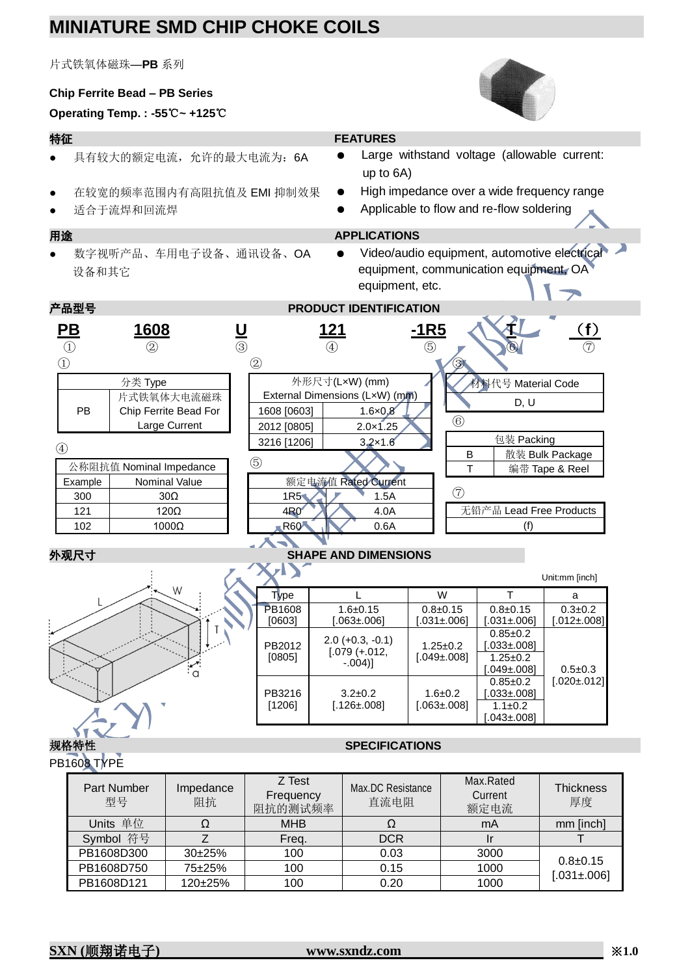# **MINIATURE SMD CHIP CHOKE COILS**

片式铁氧体磁珠—**PB** 系列

### **Chip Ferrite Bead – PB Series**

## **Operating Temp. : -55**℃**~ +125**℃

- 具有较大的额定电流,允许的最大电流为:6A
- 在较宽的频率范围内有高阻抗值及 EMI 抑制效果
- 适合于流焊和回流焊

## 特征 **FEATURES**

- Large withstand voltage (allowable current: up to 6A)
- High impedance over a wide frequency range
- Applicable to flow and re-flow soldering

### 用途 **APPLICATIONS**

● 数字视听产品、车用电子设备、通讯设备、OA 设备和其它

:∕<br>∶a

● Video/audio equipment, automotive electrical equipment, communication equipment, OA equipment, etc.

| 产品型号<br><b>PRODUCT IDENTIFICATION</b> |                                              |                                             |                           |                              |                                |               |                     |                    |                   |
|---------------------------------------|----------------------------------------------|---------------------------------------------|---------------------------|------------------------------|--------------------------------|---------------|---------------------|--------------------|-------------------|
| $\mathbf{P}\mathbf{B}$<br>$\bigcirc$  | 1608<br>$^{\small{\textcircled{\small{2}}}}$ | $\frac{1}{\sqrt{2}}$                        |                           | <u> 121</u><br>$\circled{4}$ |                                | $-1R5$<br>(5) |                     |                    | <u>(f)</u>        |
| $\bigcirc$                            |                                              |                                             | $\circled{2}$             |                              |                                |               |                     |                    |                   |
|                                       | 分类 Type                                      |                                             |                           | 外形尺寸(LxW) (mm)               |                                |               |                     | 材料代号 Material Code |                   |
|                                       | 片式铁氧体大电流磁珠                                   |                                             |                           |                              | External Dimensions (LxW) (mm) |               |                     | D, U               |                   |
| PB                                    | Chip Ferrite Bead For                        |                                             | 1608 [0603]               |                              | $1.6 \times 0.8$               |               |                     |                    |                   |
|                                       | Large Current                                |                                             | 2012 [0805]               |                              | $2.0 \times 1.25$              |               | $\circledcirc$      |                    |                   |
|                                       |                                              |                                             | 3216 [1206]               |                              | $3.2 \times 1.6$               |               |                     | 包装 Packing         |                   |
| $\circled{4}$                         |                                              |                                             |                           |                              |                                |               | B                   |                    | 散装 Bulk Package   |
| 公称阻抗值 Nominal Impedance               |                                              |                                             | (5)                       |                              |                                |               | 编带 Tape & Reel<br>т |                    |                   |
| Example                               | Nominal Value                                | 额定电流值 Rated Current                         |                           |                              |                                |               |                     |                    |                   |
| 300                                   | 30 <sub>Ω</sub>                              | $\left( \overline{7}\right)$<br>1R5<br>1.5A |                           |                              |                                |               |                     |                    |                   |
| 121                                   | $120\Omega$                                  | 无铅产品 Lead Free Products<br>4R0<br>4.0A      |                           |                              |                                |               |                     |                    |                   |
| 102                                   | 1000Ω                                        |                                             | <b>R60</b><br>0.6A<br>(f) |                              |                                |               |                     |                    |                   |
|                                       |                                              |                                             |                           |                              |                                |               |                     |                    |                   |
| 外观尺寸<br><b>SHAPE AND DIMENSIONS</b>   |                                              |                                             |                           |                              |                                |               |                     |                    |                   |
| Unit:mm [inch]                        |                                              |                                             |                           |                              |                                |               |                     |                    |                   |
|                                       | W                                            |                                             | Type                      |                              |                                |               | W                   | т                  | a                 |
|                                       |                                              |                                             | PB1608                    |                              | $1.6 + 0.15$                   |               | $0.8 + 0.15$        | $0.8 + 0.15$       | $0.3 + 0.2$       |
|                                       |                                              |                                             | [0603]                    |                              | $.063 \pm 006$                 |               | $.031 \pm .006$     | $.031 \pm .006$    | $[.012 \pm .008]$ |
|                                       |                                              |                                             |                           |                              | 0.0100001                      |               |                     | $0.85 \pm 0.2$     |                   |

PB2012 [0805]

PB3216 [1206]

规格特性 **SPECIFICATIONS**  PB1608 TYPE

1.25±0.2 [.049±.008]

1.6±0.2 [.063±.008] [.033±.008]

 $1.25 \pm 0.2$  $[.049 \pm 008]$ 

 $0.85 \pm 0.2$ [.033±.008]  $1.1±0.2$  $[.043 \pm 0.08]$ 

0.5±0.3 [.020±.012]

| $\cdots$                 |                 |                                |                           |                              |                        |
|--------------------------|-----------------|--------------------------------|---------------------------|------------------------------|------------------------|
| <b>Part Number</b><br>型号 | Impedance<br>阻抗 | Z Test<br>Frequency<br>阻抗的测试频率 | Max.DC Resistance<br>直流电阻 | Max.Rated<br>Current<br>额定电流 | <b>Thickness</b><br>厚度 |
| Units 单位                 | Ω               | <b>MHB</b>                     | Ω                         | mA                           | mm [inch]              |
| Symbol 符号                |                 | Freq.                          | <b>DCR</b>                |                              |                        |
| PB1608D300               | $30+25%$        | 100                            | 0.03                      | 3000                         |                        |
| PB1608D750               | 75±25%          | 100                            | 0.15                      | 1000                         | $0.8 + 0.15$           |
| PB1608D121               | 120±25%         | 100                            | 0.20                      | 1000                         | $[.031 \pm 0.06]$      |

2.0 (+0.3, -0.1)  $[.079 (+.012,$ -.004)]

> $3.2 \pm 0.2$ [.126±.008]